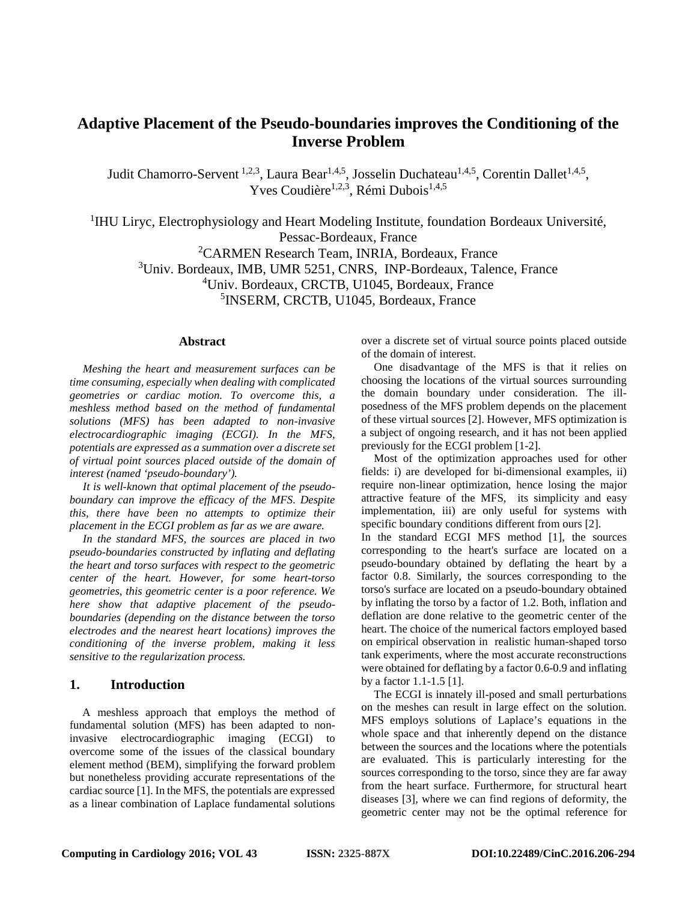# **Adaptive Placement of the Pseudo-boundaries improves the Conditioning of the Inverse Problem**

Judit Chamorro-Servent <sup>1,2,3</sup>, Laura Bear<sup>1,4,5</sup>, Josselin Duchateau<sup>1,4,5</sup>, Corentin Dallet<sup>1,4,5</sup>, Yves Coudière<sup>1,2,3</sup>, Rémi Dubois<sup>1,4,5</sup>

<sup>1</sup>IHU Liryc, Electrophysiology and Heart Modeling Institute, foundation Bordeaux Université, Pessac-Bordeaux, France 2 CARMEN Research Team, INRIA, Bordeaux, France

3 Univ. Bordeaux, IMB, UMR 5251, CNRS, INP-Bordeaux, Talence, France

4 Univ. Bordeaux, CRCTB, U1045, Bordeaux, France

5 INSERM, CRCTB, U1045, Bordeaux, France

#### **Abstract**

*Meshing the heart and measurement surfaces can be time consuming, especially when dealing with complicated geometries or cardiac motion. To overcome this, a meshless method based on the method of fundamental solutions (MFS) has been adapted to non-invasive electrocardiographic imaging (ECGI). In the MFS, potentials are expressed as a summation over a discrete set of virtual point sources placed outside of the domain of interest (named 'pseudo-boundary').*

*It is well-known that optimal placement of the pseudoboundary can improve the efficacy of the MFS. Despite this, there have been no attempts to optimize their placement in the ECGI problem as far as we are aware.* 

*In the standard MFS, the sources are placed in two pseudo-boundaries constructed by inflating and deflating the heart and torso surfaces with respect to the geometric center of the heart. However, for some heart-torso geometries, this geometric center is a poor reference. We here show that adaptive placement of the pseudoboundaries (depending on the distance between the torso electrodes and the nearest heart locations) improves the conditioning of the inverse problem, making it less sensitive to the regularization process.* 

#### **1. Introduction**

A meshless approach that employs the method of fundamental solution (MFS) has been adapted to noninvasive electrocardiographic imaging (ECGI) to overcome some of the issues of the classical boundary element method (BEM), simplifying the forward problem but nonetheless providing accurate representations of the cardiac source [1]. In the MFS, the potentials are expressed as a linear combination of Laplace fundamental solutions

over a discrete set of virtual source points placed outside of the domain of interest.

One disadvantage of the MFS is that it relies on choosing the locations of the virtual sources surrounding the domain boundary under consideration. The illposedness of the MFS problem depends on the placement of these virtual sources [2]. However, MFS optimization is a subject of ongoing research, and it has not been applied previously for the ECGI problem [1-2].

Most of the optimization approaches used for other fields: i) are developed for bi-dimensional examples, ii) require non-linear optimization, hence losing the major attractive feature of the MFS, its simplicity and easy implementation, iii) are only useful for systems with specific boundary conditions different from ours [2].

In the standard ECGI MFS method [1], the sources corresponding to the heart's surface are located on a pseudo-boundary obtained by deflating the heart by a factor 0.8. Similarly, the sources corresponding to the torso's surface are located on a pseudo-boundary obtained by inflating the torso by a factor of 1.2. Both, inflation and deflation are done relative to the geometric center of the heart. The choice of the numerical factors employed based on empirical observation in realistic human-shaped torso tank experiments, where the most accurate reconstructions were obtained for deflating by a factor 0.6-0.9 and inflating by a factor 1.1-1.5 [1].

The ECGI is innately ill-posed and small perturbations on the meshes can result in large effect on the solution. MFS employs solutions of Laplace's equations in the whole space and that inherently depend on the distance between the sources and the locations where the potentials are evaluated. This is particularly interesting for the sources corresponding to the torso, since they are far away from the heart surface. Furthermore, for structural heart diseases [3], where we can find regions of deformity, the geometric center may not be the optimal reference for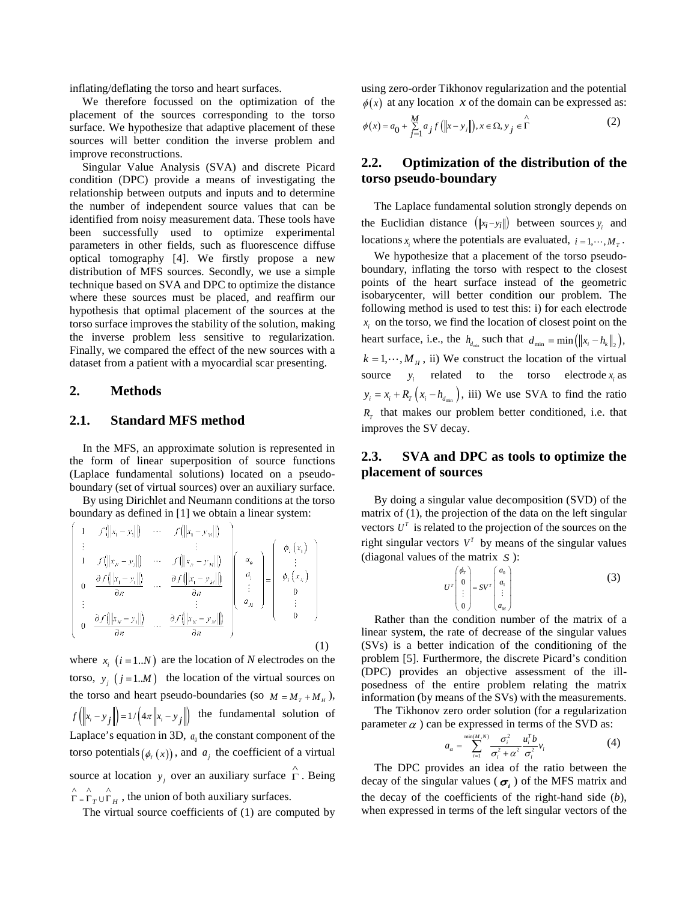inflating/deflating the torso and heart surfaces.

We therefore focussed on the optimization of the placement of the sources corresponding to the torso surface. We hypothesize that adaptive placement of these sources will better condition the inverse problem and improve reconstructions.

Singular Value Analysis (SVA) and discrete Picard condition (DPC) provide a means of investigating the relationship between outputs and inputs and to determine the number of independent source values that can be identified from noisy measurement data. These tools have been successfully used to optimize experimental parameters in other fields, such as fluorescence diffuse optical tomography [4]. We firstly propose a new distribution of MFS sources. Secondly, we use a simple technique based on SVA and DPC to optimize the distance where these sources must be placed, and reaffirm our hypothesis that optimal placement of the sources at the torso surface improves the stability of the solution, making the inverse problem less sensitive to regularization. Finally, we compared the effect of the new sources with a dataset from a patient with a myocardial scar presenting.

## **2. Methods**

## **2.1. Standard MFS method**

In the MFS, an approximate solution is represented in the form of linear superposition of source functions (Laplace fundamental solutions) located on a pseudoboundary (set of virtual sources) over an auxiliary surface.

By using Dirichlet and Neumann conditions at the torso boundary as defined in [1] we obtain a linear system:

$$
\begin{bmatrix}\n1 & f(|x_1 - y_1|) & \cdots & f(|x_1 - y_M|) \\
\vdots & & \vdots & \vdots \\
1 & f(|x_n - y_1|) & \cdots & f(|x_n - y_M|) \\
0 & \frac{\partial f(|x_1 - y_1|)}{\partial n} & \cdots & \frac{\partial f(|x_1 - y_M|)}{\partial n}\n\end{bmatrix}\n\begin{bmatrix}\na_0 \\
a_1 \\
\vdots \\
a_M\n\end{bmatrix}\n=\n\begin{bmatrix}\n\phi_r(x_1) \\
\vdots \\
\phi_r(x_N) \\
\vdots \\
0 \\
0\n\end{bmatrix}
$$
\n
$$
\vdots
$$
\n
$$
\frac{\partial f(|x_N - y_1|)}{\partial n} \cdots \frac{\partial f(|x_N - y_M|)}{\partial n}\n\tag{1}
$$

where  $x_i$   $(i = 1..N)$  are the location of *N* electrodes on the torso,  $y_i$  ( $j = 1..M$ ) the location of the virtual sources on the torso and heart pseudo-boundaries (so  $M = M_T + M_H$ ),  $f(x_i - y_j \|) = 1/(4\pi |x_i - y_j|)$  the fundamental solution of Laplace's equation in 3D,  $a_0$  the constant component of the torso potentials  $(\phi_r(x))$ , and  $a_i$  the coefficient of a virtual source at location  $y_j$  over an auxiliary surface  $\overrightarrow{\Gamma}$ . Being  $\int_{\Gamma}^{\infty}$   $\int_{\Gamma}$   $\int_{\Gamma}$   $\int_{H}$ , the union of both auxiliary surfaces.

The virtual source coefficients of (1) are computed by

using zero-order Tikhonov regularization and the potential  $\phi(x)$  at any location *x* of the domain can be expressed as:

$$
\phi(x) = a_0 + \sum_{j=1}^{M} a_j f\left(\left\|x - y_j\right\|\right), x \in \Omega, y_j \in \hat{\Gamma}
$$
 (2)

## **2.2. Optimization of the distribution of the torso pseudo-boundary**

The Laplace fundamental solution strongly depends on the Euclidian distance  $(\Vert x_i - y_i \Vert)$  between sources  $y_i$  and locations *x*<sub>*i*</sub> where the potentials are evaluated,  $i = 1, \dots, M<sub>T</sub>$ .

We hypothesize that a placement of the torso pseudoboundary, inflating the torso with respect to the closest points of the heart surface instead of the geometric isobarycenter, will better condition our problem. The following method is used to test this: i) for each electrode  $x_i$  on the torso, we find the location of closest point on the heart surface, i.e., the  $h_{d_{\min}}$  such that  $d_{\min} = \min \left( \|x_i - h_k\|_2 \right)$ ,  $k = 1, \dots, M_H$ , ii) We construct the location of the virtual source  $y_i$  related to the torso electrode  $x_i$  as  $y_i = x_i + R_r (x_i - h_i)$ , iii) We use SVA to find the ratio  $R<sub>T</sub>$  that makes our problem better conditioned, i.e. that improves the SV decay.

# **2.3. SVA and DPC as tools to optimize the placement of sources**

By doing a singular value decomposition (SVD) of the matrix of (1), the projection of the data on the left singular vectors  $U^T$  is related to the projection of the sources on the right singular vectors  $V^T$  by means of the singular values (diagonal values of the matrix *S* ):

$$
U^T \begin{pmatrix} \phi_T \\ 0 \\ \vdots \\ 0 \end{pmatrix} = SV^T \begin{pmatrix} a_0 \\ a_1 \\ \vdots \\ a_M \end{pmatrix}
$$
 (3)

Rather than the condition number of the matrix of a linear system, the rate of decrease of the singular values (SVs) is a better indication of the conditioning of the problem [5]. Furthermore, the discrete Picard's condition (DPC) provides an objective assessment of the illposedness of the entire problem relating the matrix information (by means of the SVs) with the measurements.

The Tikhonov zero order solution (for a regularization parameter  $\alpha$ ) can be expressed in terms of the SVD as:

$$
a_{\alpha} = \sum_{i=1}^{\min(M,N)} \frac{\sigma_i^2}{\sigma_i^2 + \alpha^2} \frac{u_i^T b}{\sigma_i^2} v_i
$$
 (4)

The DPC provides an idea of the ratio between the decay of the singular values ( $\sigma_i$ ) of the MFS matrix and the decay of the coefficients of the right-hand side (*b*), when expressed in terms of the left singular vectors of the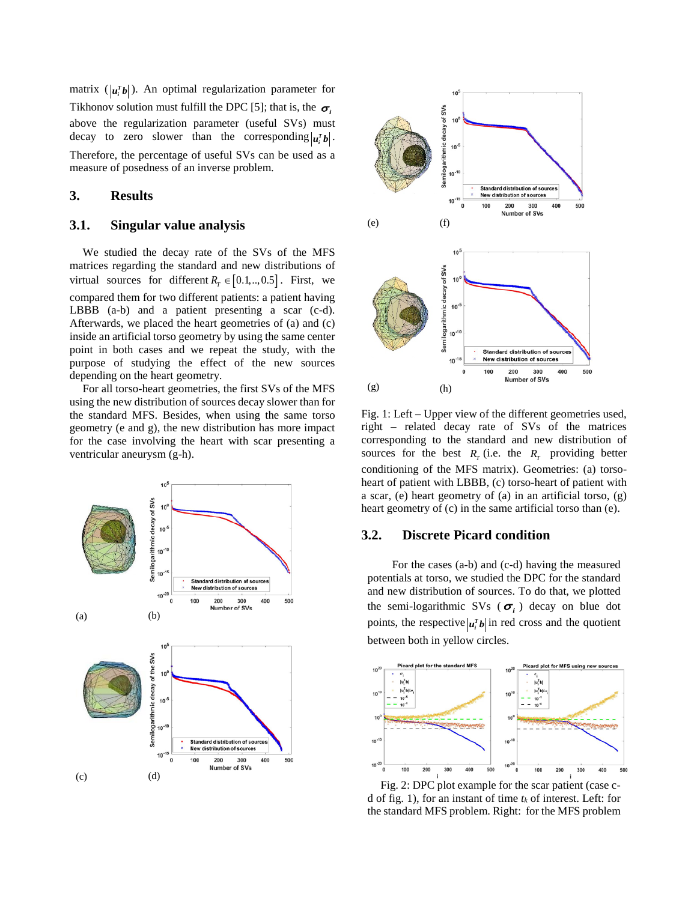matrix  $(|\mathbf{u}_i^r \mathbf{b}|)$ . An optimal regularization parameter for Tikhonov solution must fulfill the DPC [5]; that is, the  $\sigma_i$ above the regularization parameter (useful SVs) must decay to zero slower than the corresponding  $|u_i^r b|$ . Therefore, the percentage of useful SVs can be used as a measure of posedness of an inverse problem.

## **3. Results**

## **3.1. Singular value analysis**

We studied the decay rate of the SVs of the MFS matrices regarding the standard and new distributions of virtual sources for different  $R_r \in [0.1,..,0.5]$ . First, we compared them for two different patients: a patient having LBBB (a-b) and a patient presenting a scar (c-d). Afterwards, we placed the heart geometries of (a) and (c) inside an artificial torso geometry by using the same center point in both cases and we repeat the study, with the purpose of studying the effect of the new sources depending on the heart geometry.

For all torso-heart geometries, the first SVs of the MFS using the new distribution of sources decay slower than for the standard MFS. Besides, when using the same torso geometry (e and g), the new distribution has more impact for the case involving the heart with scar presenting a ventricular aneurysm (g-h).





Fig. 1: Left – Upper view of the different geometries used, right – related decay rate of SVs of the matrices corresponding to the standard and new distribution of sources for the best  $R_T$  (i.e. the  $R_T$  providing better conditioning of the MFS matrix). Geometries: (a) torsoheart of patient with LBBB, (c) torso-heart of patient with a scar, (e) heart geometry of (a) in an artificial torso, (g) heart geometry of (c) in the same artificial torso than (e).

### **3.2. Discrete Picard condition**

 For the cases (a-b) and (c-d) having the measured potentials at torso, we studied the DPC for the standard and new distribution of sources. To do that, we plotted the semi-logarithmic SVs ( $\sigma_i$ ) decay on blue dot points, the respective  $|u_i^{\dagger} b|$  in red cross and the quotient between both in yellow circles.



Fig. 2: DPC plot example for the scar patient (case cd of fig. 1), for an instant of time  $t_k$  of interest. Left: for the standard MFS problem. Right: for the MFS problem